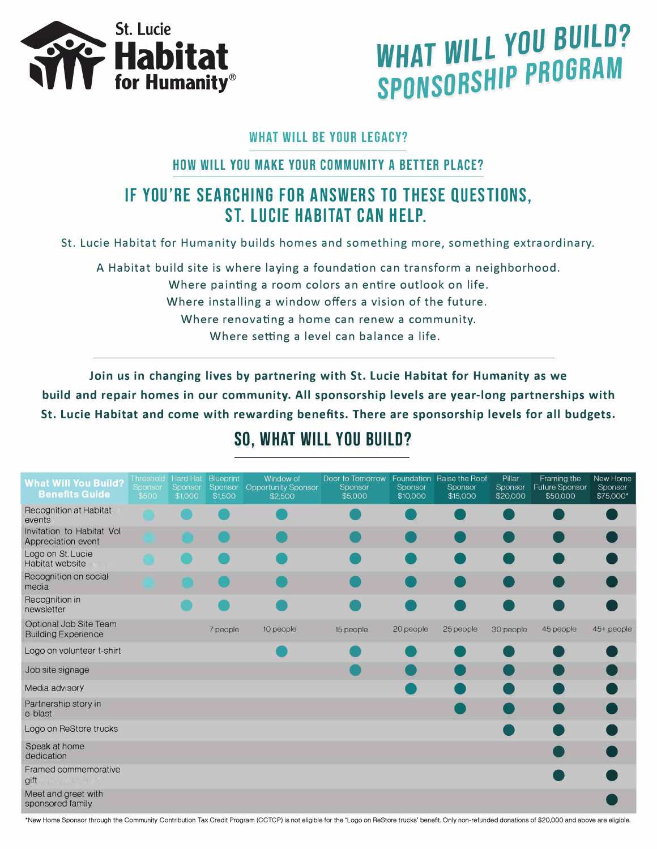

# *WHAT* **WILL you BUILD? SPONSORSHIP PROGRAM**

#### **WHAT WILL BE YOUR LEGACY?**

#### **HOW WILL YOU MAKE YOUR COMMUNITY A BETTER PLACE?**

## **IF YOU'RE SEARCHING FOR ANSWERS TO THESE QUESTIONS, ST. LUCIE HABITAT CAN HELP.**

St. Lucie Habitat for Humanity builds homes and something more, something extraordinary.

A Habitat build site is where laying a foundation can transform a neighborhood.

Where painting a room colors an entire outlook on life.

Where installing a window offers a vision of the future.

Where renovating a home can renew a community.

Where setting a level can balance a life.

**Join us in changing lives by partnering with St. Lucie Habitat for Humanity as we build and repair homes in our community. All sponsorship levels are year-long partnerships with St. Lucie Habitat and come with rewarding benefits. There are sponsorship levels for all budgets.** 

## **SO, WHAT WILL YOU BUILD?**

| <b>What Will You Build?</b><br><b>Benefits Guide</b> | Threshold Hard Hat<br>Sponsor<br>\$500 | Sponsor<br>\$1,000 | <b>Blueprint</b><br>Sponsor<br>\$1,500 | Window of<br><b>Opportunity Sponsor</b><br>\$2,500 | Door to Tomorrow<br>Sponsor<br>\$5,000 | Sponsor<br>\$10,000 | Foundation Raise the Roof<br>Sponsor<br>\$15,000 | Pillar<br>Sponsor<br>\$20,000 | Framing the<br><b>Future Sponsor</b><br>\$50,000 | New Home<br>Sponsor<br>\$75,000* |
|------------------------------------------------------|----------------------------------------|--------------------|----------------------------------------|----------------------------------------------------|----------------------------------------|---------------------|--------------------------------------------------|-------------------------------|--------------------------------------------------|----------------------------------|
| Recognition at Habitat<br>events                     |                                        |                    |                                        |                                                    |                                        |                     |                                                  |                               |                                                  |                                  |
| Invitation to Habitat Vol.<br>Appreciation event     |                                        |                    |                                        |                                                    |                                        |                     |                                                  |                               |                                                  |                                  |
| Logo on St. Lucie<br>Habitat website                 |                                        |                    |                                        |                                                    |                                        |                     |                                                  |                               |                                                  |                                  |
| Recognition on social<br>media                       |                                        |                    |                                        |                                                    |                                        |                     |                                                  |                               |                                                  |                                  |
| Recognition in<br>newsletter                         |                                        |                    |                                        |                                                    |                                        |                     |                                                  |                               |                                                  |                                  |
| Optional Job Site Team<br><b>Building Experience</b> |                                        |                    | 7 people                               | 10 people                                          | 15 people                              | 20 people           | 25 people                                        | 30 people                     | 45 people                                        | 45+ people                       |
| Logo on volunteer t-shirt                            |                                        |                    |                                        |                                                    |                                        |                     |                                                  |                               |                                                  |                                  |
| Job site signage                                     |                                        |                    |                                        |                                                    |                                        |                     |                                                  |                               |                                                  |                                  |
| Media advisory                                       |                                        |                    |                                        |                                                    |                                        |                     |                                                  |                               |                                                  |                                  |
| Partnership story in<br>e-blast                      |                                        |                    |                                        |                                                    |                                        |                     |                                                  |                               |                                                  |                                  |
| Logo on ReStore trucks                               |                                        |                    |                                        |                                                    |                                        |                     |                                                  |                               |                                                  |                                  |
| Speak at home<br>dedication                          |                                        |                    |                                        |                                                    |                                        |                     |                                                  |                               |                                                  |                                  |
| Framed commemorative<br>gift                         |                                        |                    |                                        |                                                    |                                        |                     |                                                  |                               |                                                  |                                  |
| Meet and greet with<br>sponsored family              |                                        |                    |                                        |                                                    |                                        |                     |                                                  |                               |                                                  |                                  |

'New Home Sponsor through the Community Contribution Tax Credit Program (CCTCP) is not eligible for the 'Logo on Restore trucks' benefit. Only non-refunded donations of \$20,000 and above are eligible.